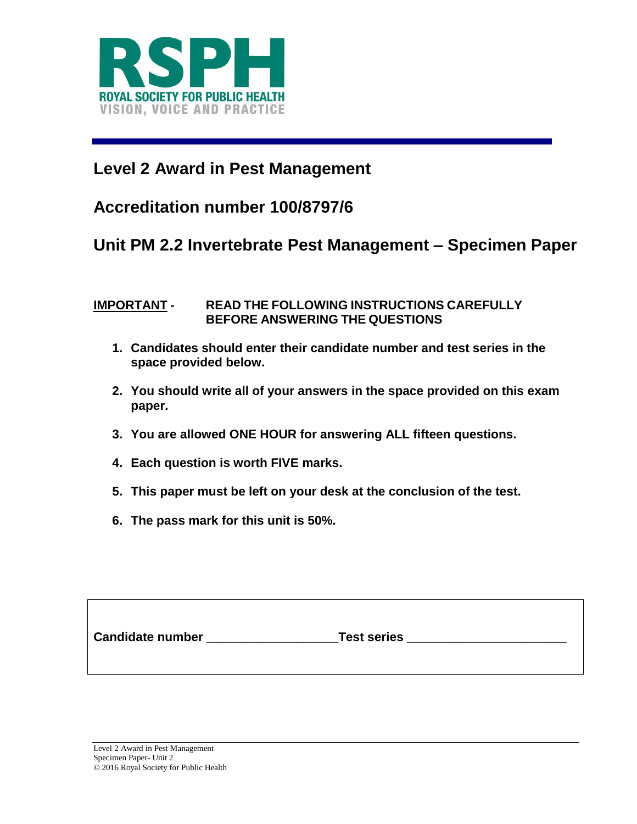

# **Level 2 Award in Pest Management**

## **Accreditation number 100/8797/6**

### **Unit PM 2.2 Invertebrate Pest Management – Specimen Paper**

#### **IMPORTANT - READ THE FOLLOWING INSTRUCTIONS CAREFULLY BEFORE ANSWERING THE QUESTIONS**

- **1. Candidates should enter their candidate number and test series in the space provided below.**
- **2. You should write all of your answers in the space provided on this exam paper.**
- **3. You are allowed ONE HOUR for answering ALL fifteen questions.**
- **4. Each question is worth FIVE marks.**
- **5. This paper must be left on your desk at the conclusion of the test.**
- **6. The pass mark for this unit is 50%.**

| <b>Candidate number</b> | <b>Test series</b> |  |
|-------------------------|--------------------|--|
|                         |                    |  |
|                         |                    |  |
|                         |                    |  |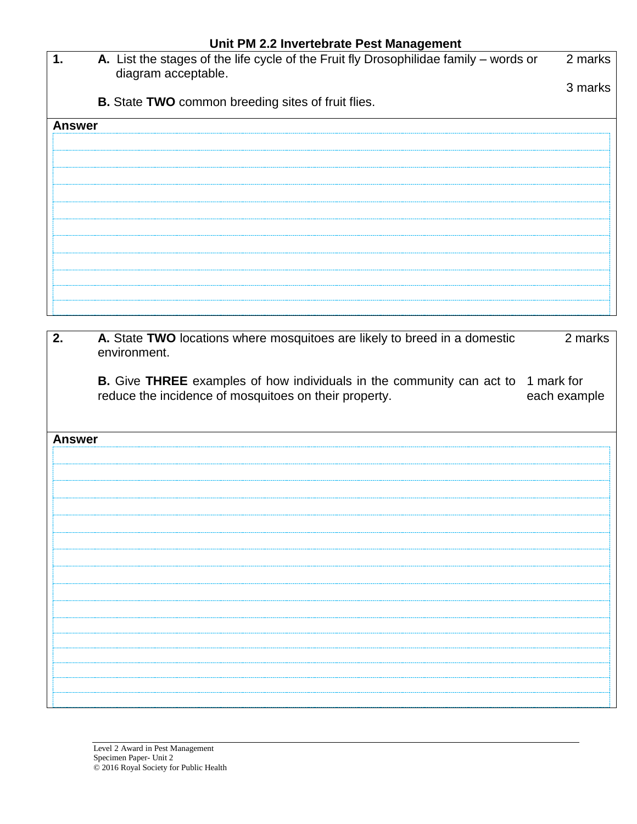|               | Unit PM 2.2 Invertebrate Pest Management                                                                     |         |  |
|---------------|--------------------------------------------------------------------------------------------------------------|---------|--|
| 1.            | A. List the stages of the life cycle of the Fruit fly Drosophilidae family – words or<br>diagram acceptable. | 2 marks |  |
|               |                                                                                                              | 3 marks |  |
|               | B. State TWO common breeding sites of fruit flies.                                                           |         |  |
| <b>Answer</b> |                                                                                                              |         |  |
|               |                                                                                                              |         |  |
|               |                                                                                                              |         |  |
|               |                                                                                                              |         |  |
|               |                                                                                                              |         |  |
|               |                                                                                                              |         |  |
|               |                                                                                                              |         |  |
|               |                                                                                                              |         |  |
|               |                                                                                                              |         |  |
|               |                                                                                                              |         |  |
|               |                                                                                                              |         |  |
|               |                                                                                                              |         |  |

| 2.            | A. State TWO locations where mosquitoes are likely to breed in a domestic<br>environment.                                                        | 2 marks      |
|---------------|--------------------------------------------------------------------------------------------------------------------------------------------------|--------------|
|               | <b>B.</b> Give THREE examples of how individuals in the community can act to 1 mark for<br>reduce the incidence of mosquitoes on their property. | each example |
| <b>Answer</b> |                                                                                                                                                  |              |
|               |                                                                                                                                                  |              |
|               |                                                                                                                                                  |              |
|               |                                                                                                                                                  |              |
|               |                                                                                                                                                  |              |
|               |                                                                                                                                                  |              |
|               |                                                                                                                                                  |              |
|               |                                                                                                                                                  |              |
|               |                                                                                                                                                  |              |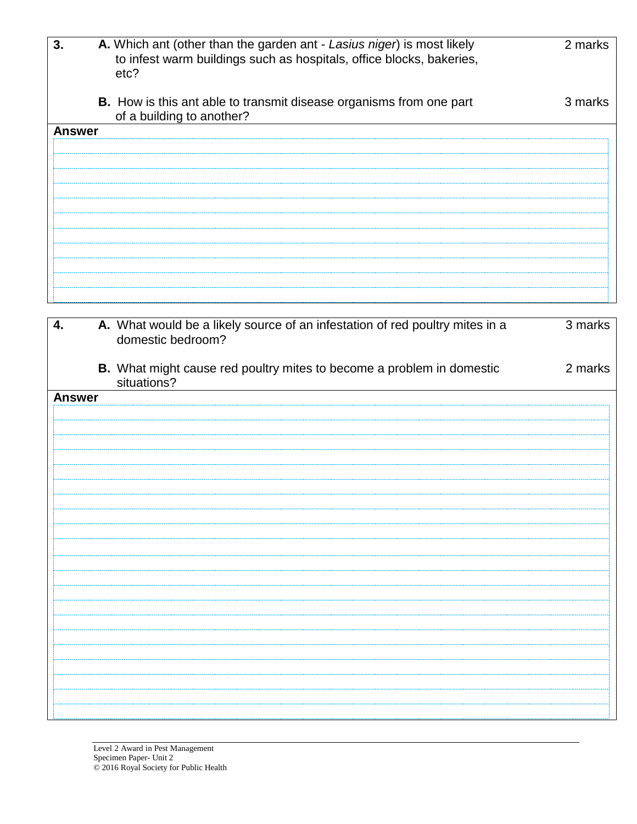| 3.            | A. Which ant (other than the garden ant - Lasius niger) is most likely<br>to infest warm buildings such as hospitals, office blocks, bakeries,<br>etc? | 2 marks |
|---------------|--------------------------------------------------------------------------------------------------------------------------------------------------------|---------|
|               | <b>B.</b> How is this ant able to transmit disease organisms from one part<br>of a building to another?                                                | 3 marks |
| <b>Answer</b> |                                                                                                                                                        |         |
|               |                                                                                                                                                        |         |
|               |                                                                                                                                                        |         |
|               |                                                                                                                                                        |         |
|               |                                                                                                                                                        |         |
|               |                                                                                                                                                        |         |
|               |                                                                                                                                                        |         |
|               |                                                                                                                                                        |         |
|               |                                                                                                                                                        |         |
|               |                                                                                                                                                        |         |
|               |                                                                                                                                                        |         |

| 4.            | A. What would be a likely source of an infestation of red poultry mites in a<br>domestic bedroom? | 3 marks |
|---------------|---------------------------------------------------------------------------------------------------|---------|
|               | B. What might cause red poultry mites to become a problem in domestic<br>situations?              | 2 marks |
| <b>Answer</b> |                                                                                                   |         |
|               |                                                                                                   |         |
|               |                                                                                                   |         |
|               |                                                                                                   |         |
|               |                                                                                                   |         |
|               |                                                                                                   |         |
|               |                                                                                                   |         |
|               |                                                                                                   |         |
|               |                                                                                                   |         |
|               |                                                                                                   |         |
|               |                                                                                                   |         |
|               |                                                                                                   |         |
|               |                                                                                                   |         |
|               |                                                                                                   |         |
|               |                                                                                                   |         |
|               |                                                                                                   |         |
|               |                                                                                                   |         |
|               |                                                                                                   |         |
|               |                                                                                                   |         |
|               |                                                                                                   |         |
|               |                                                                                                   |         |
|               |                                                                                                   |         |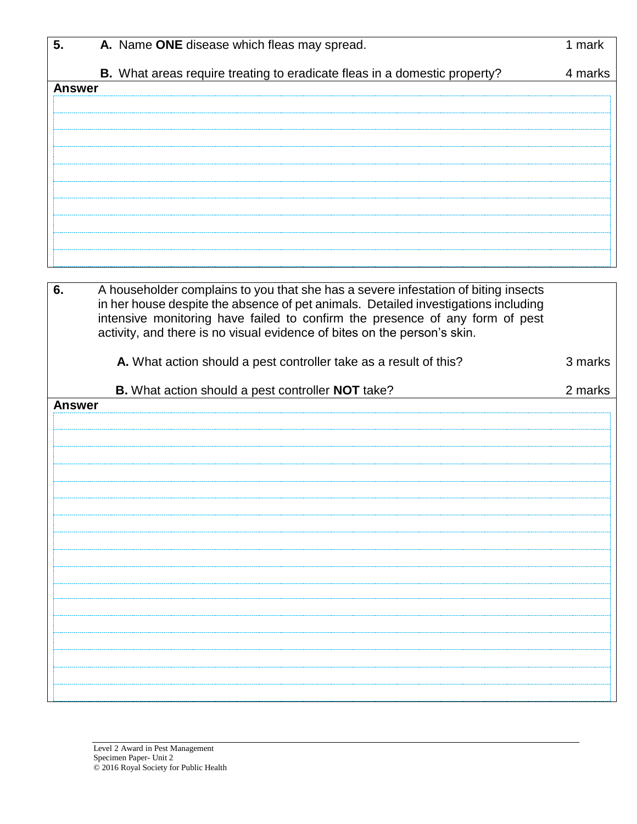| 5.            | A. Name ONE disease which fleas may spread.                                        | 1 mark  |
|---------------|------------------------------------------------------------------------------------|---------|
|               | B. What areas require treating to eradicate fleas in a domestic property?          | 4 marks |
| <b>Answer</b> |                                                                                    |         |
|               |                                                                                    |         |
|               |                                                                                    |         |
|               |                                                                                    |         |
|               |                                                                                    |         |
|               |                                                                                    |         |
|               |                                                                                    |         |
|               |                                                                                    |         |
|               |                                                                                    |         |
|               |                                                                                    |         |
| 6.            | A householder complains to you that she has a severe infestation of biting insects |         |
|               | in her house despite the absence of pet animals. Detailed investigations including |         |
|               | intensive monitoring have failed to confirm the presence of any form of pest       |         |
|               | activity, and there is no visual evidence of bites on the person's skin.           |         |
|               | A. What action should a pest controller take as a result of this?                  | 3 marks |
|               |                                                                                    |         |
|               |                                                                                    |         |
|               | B. What action should a pest controller NOT take?                                  | 2 marks |
| <b>Answer</b> |                                                                                    |         |
|               |                                                                                    |         |
|               |                                                                                    |         |
|               |                                                                                    |         |
|               |                                                                                    |         |
|               |                                                                                    |         |
|               |                                                                                    |         |
|               |                                                                                    |         |
|               |                                                                                    |         |
|               |                                                                                    |         |
|               |                                                                                    |         |
|               |                                                                                    |         |
|               |                                                                                    |         |
|               |                                                                                    |         |
|               |                                                                                    |         |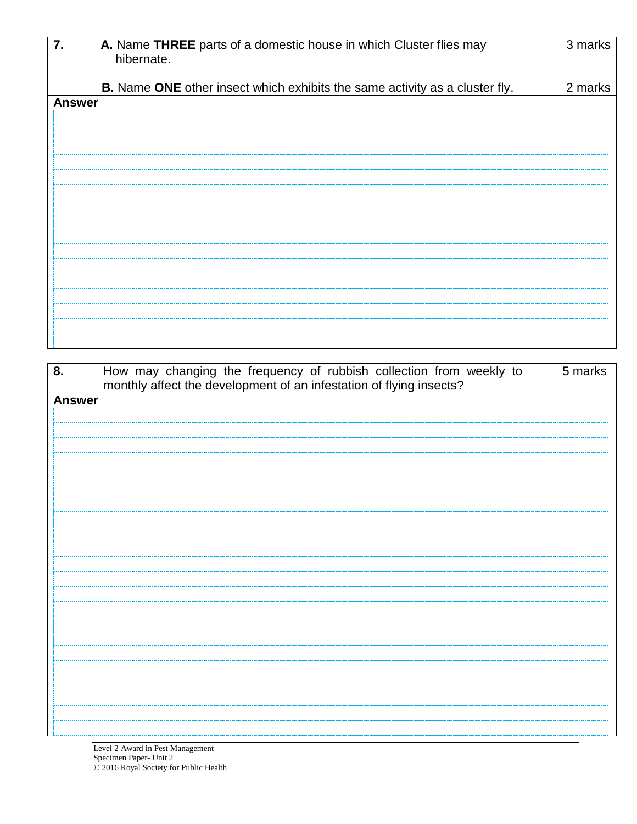| 7.            | A. Name THREE parts of a domestic house in which Cluster flies may<br>hibernate.   | 3 marks |
|---------------|------------------------------------------------------------------------------------|---------|
|               | <b>B.</b> Name ONE other insect which exhibits the same activity as a cluster fly. | 2 marks |
| <b>Answer</b> |                                                                                    |         |
|               |                                                                                    |         |
|               |                                                                                    |         |
|               |                                                                                    |         |
|               |                                                                                    |         |
|               |                                                                                    |         |
|               |                                                                                    |         |
|               |                                                                                    |         |
|               |                                                                                    |         |
|               |                                                                                    |         |
|               |                                                                                    |         |
|               |                                                                                    |         |
|               |                                                                                    |         |
|               |                                                                                    |         |
|               |                                                                                    |         |

| 8.            | How may changing the frequency of rubbish collection from weekly to<br>5 marks<br>monthly affect the development of an infestation of flying insects? |
|---------------|-------------------------------------------------------------------------------------------------------------------------------------------------------|
| <b>Answer</b> |                                                                                                                                                       |
|               |                                                                                                                                                       |
|               |                                                                                                                                                       |
|               |                                                                                                                                                       |
|               |                                                                                                                                                       |
|               |                                                                                                                                                       |
|               |                                                                                                                                                       |
|               |                                                                                                                                                       |
|               |                                                                                                                                                       |
|               |                                                                                                                                                       |
|               |                                                                                                                                                       |
|               |                                                                                                                                                       |
|               |                                                                                                                                                       |
|               |                                                                                                                                                       |
|               |                                                                                                                                                       |
|               |                                                                                                                                                       |
|               |                                                                                                                                                       |
|               |                                                                                                                                                       |
|               |                                                                                                                                                       |
|               |                                                                                                                                                       |
|               |                                                                                                                                                       |
|               |                                                                                                                                                       |
|               |                                                                                                                                                       |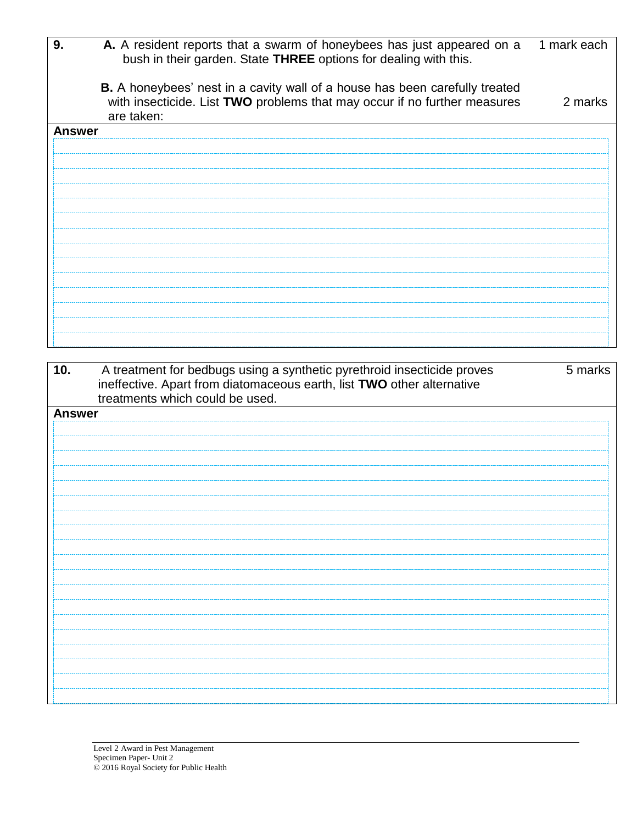| 9.            | A. A resident reports that a swarm of honeybees has just appeared on a<br>bush in their garden. State THREE options for dealing with this.                                    | 1 mark each |
|---------------|-------------------------------------------------------------------------------------------------------------------------------------------------------------------------------|-------------|
|               | <b>B.</b> A honeybees' nest in a cavity wall of a house has been carefully treated<br>with insecticide. List TWO problems that may occur if no further measures<br>are taken: | 2 marks     |
| <b>Answer</b> |                                                                                                                                                                               |             |
|               |                                                                                                                                                                               |             |
|               |                                                                                                                                                                               |             |
|               |                                                                                                                                                                               |             |
|               |                                                                                                                                                                               |             |
|               |                                                                                                                                                                               |             |
|               |                                                                                                                                                                               |             |
|               |                                                                                                                                                                               |             |
|               |                                                                                                                                                                               |             |
|               |                                                                                                                                                                               |             |
|               |                                                                                                                                                                               |             |
|               |                                                                                                                                                                               |             |

| 10.           | A treatment for bedbugs using a synthetic pyrethroid insecticide proves<br>ineffective. Apart from diatomaceous earth, list TWO other alternative<br>treatments which could be used. | 5 marks |
|---------------|--------------------------------------------------------------------------------------------------------------------------------------------------------------------------------------|---------|
| <b>Answer</b> |                                                                                                                                                                                      |         |
|               |                                                                                                                                                                                      |         |
|               |                                                                                                                                                                                      |         |
|               |                                                                                                                                                                                      |         |
|               |                                                                                                                                                                                      |         |
|               |                                                                                                                                                                                      |         |
|               |                                                                                                                                                                                      |         |
|               |                                                                                                                                                                                      |         |
|               |                                                                                                                                                                                      |         |
|               |                                                                                                                                                                                      |         |
|               |                                                                                                                                                                                      |         |
|               |                                                                                                                                                                                      |         |
|               |                                                                                                                                                                                      |         |
|               |                                                                                                                                                                                      |         |
|               |                                                                                                                                                                                      |         |
|               |                                                                                                                                                                                      |         |
|               |                                                                                                                                                                                      |         |
|               |                                                                                                                                                                                      |         |
|               |                                                                                                                                                                                      |         |
|               |                                                                                                                                                                                      |         |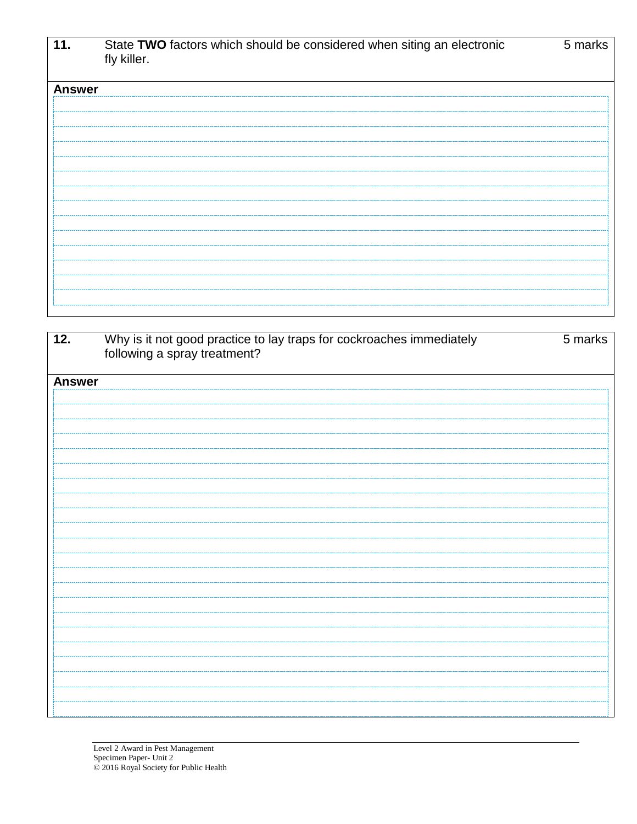| 11.           | State TWO factors which should be considered when siting an electronic<br>fly killer. | 5 marks |
|---------------|---------------------------------------------------------------------------------------|---------|
| <b>Answer</b> |                                                                                       |         |
|               |                                                                                       |         |
|               |                                                                                       |         |
|               |                                                                                       |         |
|               |                                                                                       |         |
|               |                                                                                       |         |
|               |                                                                                       |         |
|               |                                                                                       |         |
|               |                                                                                       |         |
|               |                                                                                       |         |
|               |                                                                                       |         |
|               |                                                                                       |         |

| 12.           | Why is it not good practice to lay traps for cockroaches immediately following a spray treatment? | 5 marks |
|---------------|---------------------------------------------------------------------------------------------------|---------|
|               |                                                                                                   |         |
|               |                                                                                                   |         |
|               |                                                                                                   |         |
| <b>Answer</b> |                                                                                                   |         |
|               |                                                                                                   |         |
|               |                                                                                                   |         |
|               |                                                                                                   |         |
|               |                                                                                                   |         |
|               |                                                                                                   |         |
|               |                                                                                                   |         |
|               |                                                                                                   |         |
|               |                                                                                                   |         |
|               |                                                                                                   |         |
|               |                                                                                                   |         |
|               |                                                                                                   |         |
|               |                                                                                                   |         |
|               |                                                                                                   |         |
|               |                                                                                                   |         |
|               |                                                                                                   |         |
|               |                                                                                                   |         |
|               |                                                                                                   |         |
|               |                                                                                                   |         |
|               |                                                                                                   |         |
|               |                                                                                                   |         |
|               |                                                                                                   |         |
|               |                                                                                                   |         |
|               |                                                                                                   |         |
|               |                                                                                                   |         |
|               |                                                                                                   |         |
|               |                                                                                                   |         |
|               |                                                                                                   |         |
|               |                                                                                                   |         |
|               |                                                                                                   |         |
|               |                                                                                                   |         |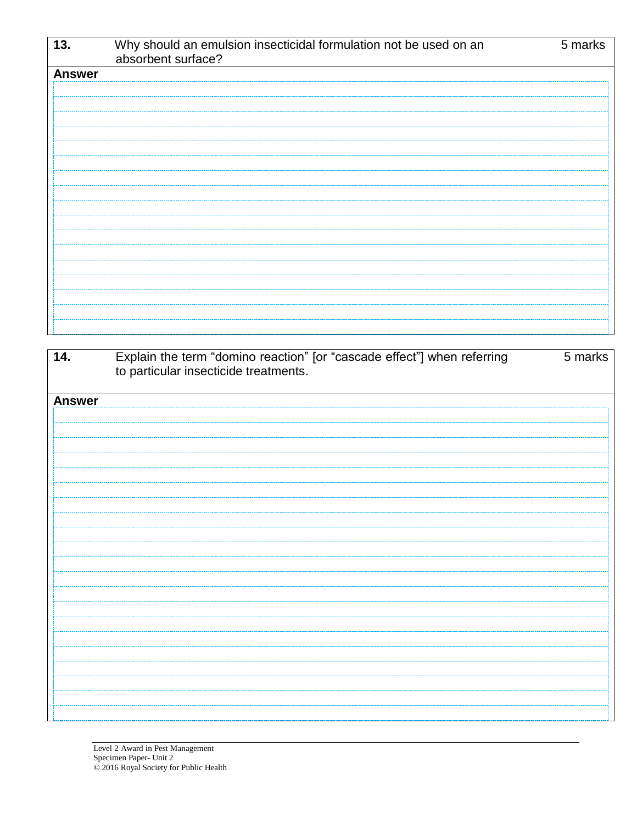| 13.           | Why should an emulsion insecticidal formulation not be used on an<br>absorbent surface? | 5 marks |
|---------------|-----------------------------------------------------------------------------------------|---------|
| <b>Answer</b> |                                                                                         |         |
|               |                                                                                         |         |
|               |                                                                                         |         |
|               |                                                                                         |         |
|               |                                                                                         |         |
|               |                                                                                         |         |
|               |                                                                                         |         |
|               |                                                                                         |         |
|               |                                                                                         |         |
|               |                                                                                         |         |
|               |                                                                                         |         |
|               |                                                                                         |         |
|               |                                                                                         |         |
|               |                                                                                         |         |
|               |                                                                                         |         |
|               |                                                                                         |         |
|               |                                                                                         |         |
|               |                                                                                         |         |

| 14.           | Explain the term "domino reaction" [or "cascade effect"] when referring<br>to particular insecticide treatments. | 5 marks |
|---------------|------------------------------------------------------------------------------------------------------------------|---------|
| <b>Answer</b> |                                                                                                                  |         |
|               |                                                                                                                  |         |
|               |                                                                                                                  |         |
|               |                                                                                                                  |         |
|               |                                                                                                                  |         |
|               |                                                                                                                  |         |
|               |                                                                                                                  |         |
|               |                                                                                                                  |         |
|               |                                                                                                                  |         |
|               |                                                                                                                  |         |
|               |                                                                                                                  |         |
|               |                                                                                                                  |         |
|               |                                                                                                                  |         |
|               |                                                                                                                  |         |